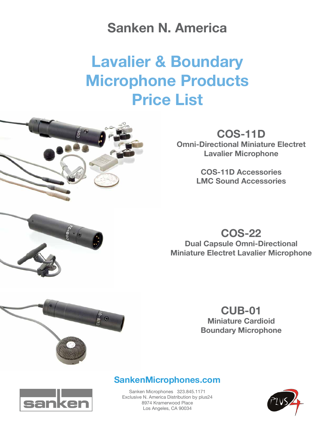## **Sanken N. America**

# **Lavalier & Boundary Microphone Products Price List**



## **COS-11D**

**Omni-Directional Miniature Electret Lavalier Microphone**

> **COS-11D Accessories LMC Sound Accessories**

**COS-22 Dual Capsule Omni-Directional Miniature Electret Lavalier Microphone**



## **CUB-01**

**Miniature Cardioid Boundary Microphone**

### **SankenMicrophones.com**



Sanken Microphones 323.845.1171 Exclusive N. America Distribution by plus24 8974 Kramerwood Place Los Angeles, CA 90034

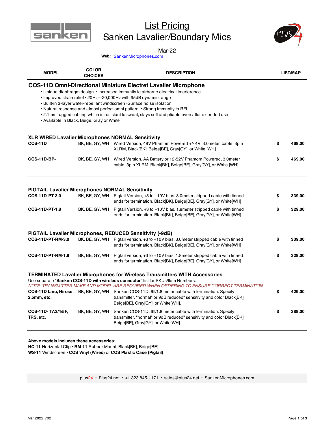

## **List Pricing** Sanken Lavalier/Boundary Mics



#### Mar-22

Web: **SankenMicrophones.com** 

| <b>MODEL</b>                                                             | <b>COLOR</b><br><b>CHOICES</b>             | <b>DESCRIPTION</b>                                                                                                                                                                                                                                                                                                                                                                                                                                                                                 | <b>LIST/MAP</b> |        |
|--------------------------------------------------------------------------|--------------------------------------------|----------------------------------------------------------------------------------------------------------------------------------------------------------------------------------------------------------------------------------------------------------------------------------------------------------------------------------------------------------------------------------------------------------------------------------------------------------------------------------------------------|-----------------|--------|
|                                                                          | • Available in Black, Beige, Gray or White | <b>COS-11D Omni-Directional Miniature Electret Lavalier Microphone</b><br>• Unique diaphragm design • Increased immunity to airborne electrical interference<br>. Improved strain relief . 20Hz---20,000Hz with 95dB dynamic range<br>· Built-in 3-layer water-repellant windscreen · Surface noise isolation<br>• Natural response and almost perfect omni pattern • Strong immunity to RFI<br>• 2.1mm rugged cabling which is resistant to sweat, stays soft and pliable even after extended use |                 |        |
|                                                                          |                                            | <b>XLR WIRED Lavalier Microphones NORMAL Sensitivity</b>                                                                                                                                                                                                                                                                                                                                                                                                                                           |                 |        |
| <b>COS-11D</b>                                                           |                                            | BK, BE, GY, WH Wired Version, 48V Phantom Powered +/- 4V, 3.0 meter cable, 3pin<br>XLRM, Black[BK], Beige[BE], Gray[GY], or White [WH]                                                                                                                                                                                                                                                                                                                                                             | \$              | 469.00 |
| <b>COS-11D-BP-</b>                                                       |                                            | BK, BE, GY, WH Wired Version, AA Battery or 12-52V Phantom Powered, 3.0 meter<br>cable, 3pin XLRM, Black[BK], Beige[BE], Gray[GY], or White [WH]                                                                                                                                                                                                                                                                                                                                                   | \$              | 469.00 |
| <b>PIGTAIL Lavalier Microphones NORMAL Sensitivity</b><br>COS-11D-PT-3.0 |                                            | BK, BE, GY, WH Pigtail Version, +3 to +10V bias. 3.0 meter stripped cable with tinned<br>ends for termination. Black[BK], Beige[BE], Gray[GY], or White[WH]                                                                                                                                                                                                                                                                                                                                        | \$              | 339.00 |
| COS-11D-PT-1.8                                                           | BK, BE, GY, WH                             | Pigtail Version, +3 to +10V bias. 1.8 meter stripped cable with tinned<br>ends for termination. Black[BK], Beige[BE], Gray[GY], or White[WH]                                                                                                                                                                                                                                                                                                                                                       | \$              | 329.00 |
|                                                                          |                                            |                                                                                                                                                                                                                                                                                                                                                                                                                                                                                                    |                 |        |
| COS-11D-PT-RM-3.0                                                        |                                            | PIGTAIL Lavalier Microphones, REDUCED Sensitivity (-9dB)<br>BK, BE, GY, WH Pigtail version, +3 to +10V bias. 3.0 meter stripped cable with tinned<br>ends for termination. Black[BK], Beige[BE], Gray[GY], or White[WH]                                                                                                                                                                                                                                                                            | \$              | 339.00 |
| COS-11D-PT-RM-1.8                                                        | BK, BE, GY, WH                             | Pigtail version, +3 to +10V bias. 1.8 meter stripped cable with tinned<br>ends for termination. Black[BK], Beige[BE], Gray[GY], or White[WH]                                                                                                                                                                                                                                                                                                                                                       | \$              | 329.00 |
|                                                                          |                                            | <b>TERMINATED Lavalier Microphones for Wireless Transmitters WITH Accessories</b><br>Use separate "Sanken COS-11D with wireless connector" list for SKUs/Item Numbers.<br>NOTE: TRANSMITTER MAKE AND MODEL ARE REQUIRED WHEN ORDERING TO ENSURE CORRECT TERMINATION                                                                                                                                                                                                                                |                 |        |
| 2.5mm, etc.                                                              |                                            | COS-11D Lmo, Hirose, BK, BE, GY, WH Sanken COS-11D, 6ft/1.8 meter cable with termination. Specify<br>transmitter, "normal" or 9dB reduced" sensitivity and color Black[BK],<br>Beige[BE], Gray[GY], or White[WH].                                                                                                                                                                                                                                                                                  | \$              | 429.00 |
| COS-11D-TA3/4/5F,<br>TRS, etc.                                           | BK, BE, GY, WH                             | Sanken COS-11D, 6ft/1.8 meter cable with termination. Specify<br>transmitter, "normal" or 9dB reduced" sensitivity and color Black[BK],<br>Beige[BE], Gray[GY], or White[WH].                                                                                                                                                                                                                                                                                                                      | \$              | 389.00 |
|                                                                          |                                            |                                                                                                                                                                                                                                                                                                                                                                                                                                                                                                    |                 |        |

**Above models includes these accessories:** 

**HC-11** Horizontal Clip • **RM-11** Rubber Mount, Black[BK], Beige[BE] **WS-11** Windscreen • **COS Vinyl (Wired**) or **COS Plastic Case (Pigtail)**

plus24 • Plus24.net • +1 323 845-1171 • sales@plus24.net • SankenMicrophones.com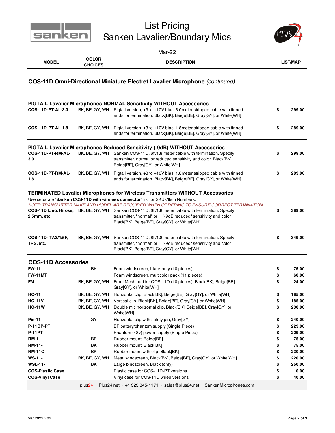

## List Pricing Sanken Lavalier/Boundary Mics



| Mar-22                                                                                                                                                                                                                                                                                                                                                                                                                                                                                                       |                                |                                                                                                                                                                                                                                                       |                 |        |  |  |  |  |  |
|--------------------------------------------------------------------------------------------------------------------------------------------------------------------------------------------------------------------------------------------------------------------------------------------------------------------------------------------------------------------------------------------------------------------------------------------------------------------------------------------------------------|--------------------------------|-------------------------------------------------------------------------------------------------------------------------------------------------------------------------------------------------------------------------------------------------------|-----------------|--------|--|--|--|--|--|
| <b>MODEL</b>                                                                                                                                                                                                                                                                                                                                                                                                                                                                                                 | <b>COLOR</b><br><b>CHOICES</b> | <b>DESCRIPTION</b>                                                                                                                                                                                                                                    | <b>LIST/MAP</b> |        |  |  |  |  |  |
| <b>COS-11D Omni-Directional Miniature Electret Lavalier Microphone</b> (continued)                                                                                                                                                                                                                                                                                                                                                                                                                           |                                |                                                                                                                                                                                                                                                       |                 |        |  |  |  |  |  |
| COS-11D-PT-AL-3.0                                                                                                                                                                                                                                                                                                                                                                                                                                                                                            |                                | <b>PIGTAIL Lavalier Microphones NORMAL Sensitivity WITHOUT Accessories</b><br>BK, BE, GY, WH Pigtail version, +3 to +10V bias. 3.0meter stripped cable with tinned<br>ends for termination. Black[BK], Beige[BE], Gray[GY], or White[WH]              | \$              | 299.00 |  |  |  |  |  |
| COS-11D-PT-AL-1.8                                                                                                                                                                                                                                                                                                                                                                                                                                                                                            | BK, BE, GY, WH                 | Pigtail version, +3 to +10V bias. 1.8 meter stripped cable with tinned<br>ends for termination. Black[BK], Beige[BE], Gray[GY], or White[WH]                                                                                                          | \$              | 289.00 |  |  |  |  |  |
| COS-11D-PT-RM-AL-<br>3.0                                                                                                                                                                                                                                                                                                                                                                                                                                                                                     | BK, BE, GY, WH                 | PIGTAIL Lavalier Microphones Reduced Sensitivity (-9dB) WITHOUT Accessories<br>Sanken COS-11D, 6ft/1.8 meter cable with termination. Specify<br>transmitter, normal or reduced sensitivity and color. Black[BK],<br>Beige[BE], Gray[GY], or White[WH] | \$              | 299.00 |  |  |  |  |  |
| COS-11D-PT-RM-AL-<br>1.8                                                                                                                                                                                                                                                                                                                                                                                                                                                                                     | BK, BE, GY, WH                 | Pigtail version, +3 to +10V bias. 1.8 meter stripped cable with tinned<br>ends for termination. Black[BK], Beige[BE], Gray[GY], or White[WH]                                                                                                          | \$              | 289.00 |  |  |  |  |  |
| <b>TERMINATED Lavalier Microphones for Wireless Transmitters WITHOUT Accessories</b><br>Use separate "Sanken COS-11D with wireless connector" list for SKUs/Item Numbers.<br>NOTE: TRANSMITTER MAKE AND MODEL ARE REQUIRED WHEN ORDERING TO ENSURE CORRECT TERMINATION<br>COS-11D Lmo, Hirose, BK, BE, GY, WH Sanken COS-11D, 6ft/1.8 meter cable with termination. Specify<br>transmitter, "normal" or "-9dB reduced" sensitivity and color<br>2.5mm, etc.<br>Black[BK], Beige[BE], Gray[GY], or White[WH]. |                                |                                                                                                                                                                                                                                                       |                 |        |  |  |  |  |  |
| COS-11D-TA3/4/5F,<br>TRS, etc.                                                                                                                                                                                                                                                                                                                                                                                                                                                                               | BK, BE, GY, WH                 | Sanken COS-11D, 6ft/1.8 meter cable with termination. Specify<br>transmitter, "normal" or "-9dB reduced" sensitivity and color<br>Black[BK], Beige[BE], Gray[GY], or White[WH].                                                                       | \$              | 349.00 |  |  |  |  |  |
| <b>COS-11D Accessories</b>                                                                                                                                                                                                                                                                                                                                                                                                                                                                                   |                                |                                                                                                                                                                                                                                                       |                 |        |  |  |  |  |  |
| <b>FW-11</b>                                                                                                                                                                                                                                                                                                                                                                                                                                                                                                 | ΒK                             | Foam windscreen, black only (10 pieces)                                                                                                                                                                                                               | \$              | 75.00  |  |  |  |  |  |
| <b>FW-11MT</b>                                                                                                                                                                                                                                                                                                                                                                                                                                                                                               |                                | Foam windscreen, multicolor pack (11 pieces)                                                                                                                                                                                                          | \$              | 60.00  |  |  |  |  |  |
| FM                                                                                                                                                                                                                                                                                                                                                                                                                                                                                                           | BK, BE, GY, WH                 | Front Mesh part for COS-11D (10 pieces), Black[BK], Beige[BE],<br>Gray[GY], or White[WH]                                                                                                                                                              | \$              | 24.00  |  |  |  |  |  |
| $HC-11$                                                                                                                                                                                                                                                                                                                                                                                                                                                                                                      | BK, BE, GY, WH                 | Horizontal clip, Black[BK], Beige[BE], Gray[GY], or White[WH]                                                                                                                                                                                         | \$              | 185.00 |  |  |  |  |  |
| <b>HC-11V</b>                                                                                                                                                                                                                                                                                                                                                                                                                                                                                                | BK, BE, GY, WH                 | Vertical clip, Black[BK], Beige[BE], Gray[GY], or White[WH]                                                                                                                                                                                           | \$              | 185.00 |  |  |  |  |  |
| <b>HC-11W</b>                                                                                                                                                                                                                                                                                                                                                                                                                                                                                                | BK, BE, GY, WH                 | Double mic horizontal clip, Black[BK], Beige[BE], Gray[GY], or<br>White[WH]                                                                                                                                                                           | \$              | 230.00 |  |  |  |  |  |
| <b>Pin-11</b>                                                                                                                                                                                                                                                                                                                                                                                                                                                                                                | GY                             | Horizontal clip with safety pin, Gray[GY]                                                                                                                                                                                                             | \$              | 240.00 |  |  |  |  |  |
| P-11BP-PT                                                                                                                                                                                                                                                                                                                                                                                                                                                                                                    |                                | BP battery/phantom supply (Single Piece)                                                                                                                                                                                                              | \$              | 229.00 |  |  |  |  |  |
| <b>P-11PT</b>                                                                                                                                                                                                                                                                                                                                                                                                                                                                                                |                                | Phantom (48v) power supply (Single Piece)                                                                                                                                                                                                             | \$              | 229.00 |  |  |  |  |  |
| <b>RM-11-</b>                                                                                                                                                                                                                                                                                                                                                                                                                                                                                                | BE                             | Rubber mount, Beige[BE]                                                                                                                                                                                                                               | \$              | 75.00  |  |  |  |  |  |
| <b>RM-11-</b>                                                                                                                                                                                                                                                                                                                                                                                                                                                                                                | BK                             | Rubber mount, Black[BK]                                                                                                                                                                                                                               | \$              | 75.00  |  |  |  |  |  |
| <b>RM-11C</b>                                                                                                                                                                                                                                                                                                                                                                                                                                                                                                | ΒK                             | Rubber mount with clip, Black[BK]                                                                                                                                                                                                                     | \$              | 230.00 |  |  |  |  |  |
| <b>WS-11-</b>                                                                                                                                                                                                                                                                                                                                                                                                                                                                                                | BK, BE, GY, WH                 | Metal windscreen, Black[BK], Beige[BE], Gray[GY], or White[WH]                                                                                                                                                                                        | \$              | 220.00 |  |  |  |  |  |
| WSL-11-                                                                                                                                                                                                                                                                                                                                                                                                                                                                                                      | ВK                             | Large bindscreen, Black (only)                                                                                                                                                                                                                        | \$              | 250.00 |  |  |  |  |  |
| <b>COS-Plastic Case</b>                                                                                                                                                                                                                                                                                                                                                                                                                                                                                      |                                | Plastic case for COS-11D-PT versions                                                                                                                                                                                                                  | \$              | 10.00  |  |  |  |  |  |
| COS-Vinyl Case                                                                                                                                                                                                                                                                                                                                                                                                                                                                                               |                                | Vinyl case for COS-11D wired versions                                                                                                                                                                                                                 | \$              | 40.00  |  |  |  |  |  |
|                                                                                                                                                                                                                                                                                                                                                                                                                                                                                                              |                                | plus24 · Plus24.net · +1 323 845-1171 · sales@plus24.net · SankenMicrophones.com                                                                                                                                                                      |                 |        |  |  |  |  |  |